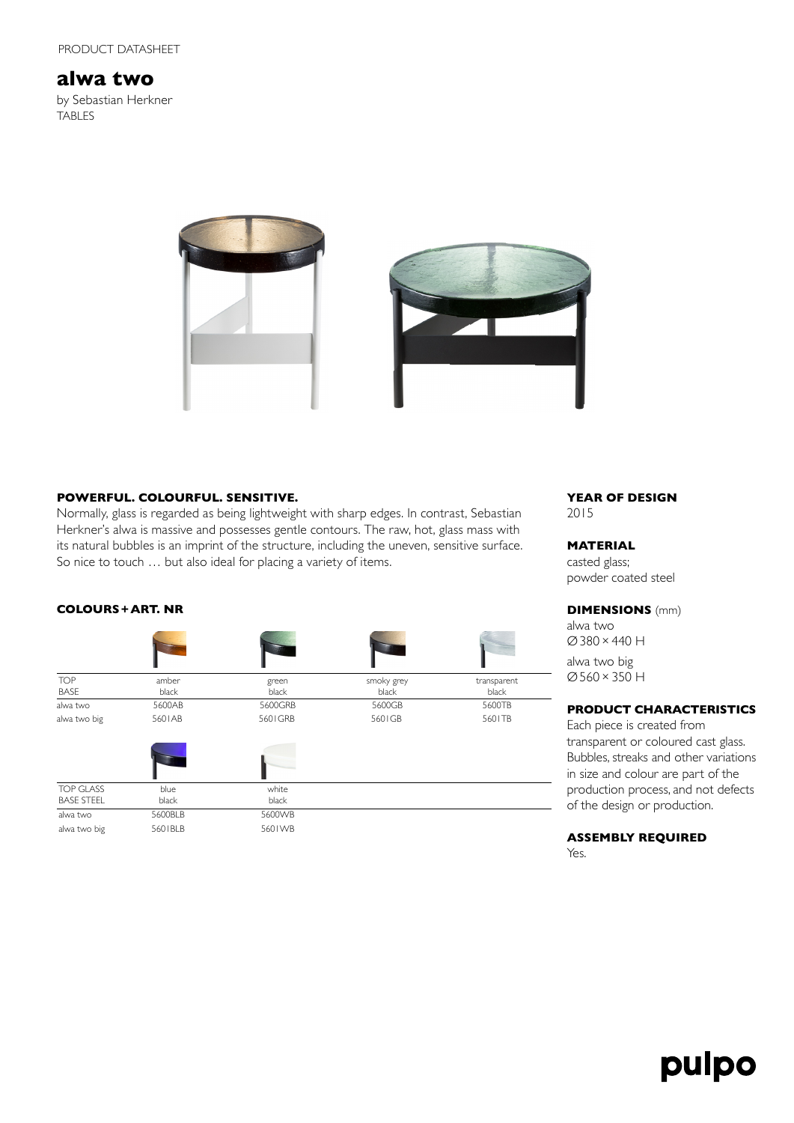# **alwa two**

by Sebastian Herkner TABLES





### **POWERFUL. COLOURFUL. SENSITIVE.**

Normally, glass is regarded as being lightweight with sharp edges. In contrast, Sebastian Herkner's alwa is massive and possesses gentle contours. The raw, hot, glass mass with its natural bubbles is an imprint of the structure, including the uneven, sensitive surface. So nice to touch … but also ideal for placing a variety of items.

### **COLOURS+ART. NR**

| transparent |
|-------------|
| black       |
| 5600TB      |
| 5601TB      |
|             |
|             |
|             |
|             |
|             |
|             |

### **YEAR OF DESIGN** 2015

### **MATERIAL**

casted glass; powder coated steel

### **DIMENSIONS** (mm)

alwa two Ø380×440 H alwa two big Ø560×350 H

### **PRODUCT CHARACTERISTICS**

Each piece is created from transparent or coloured cast glass. Bubbles, streaks and other variations in size and colour are part of the production process, and not defects of the design or production.

### **ASSEMBLY REQUIRED**

Yes.